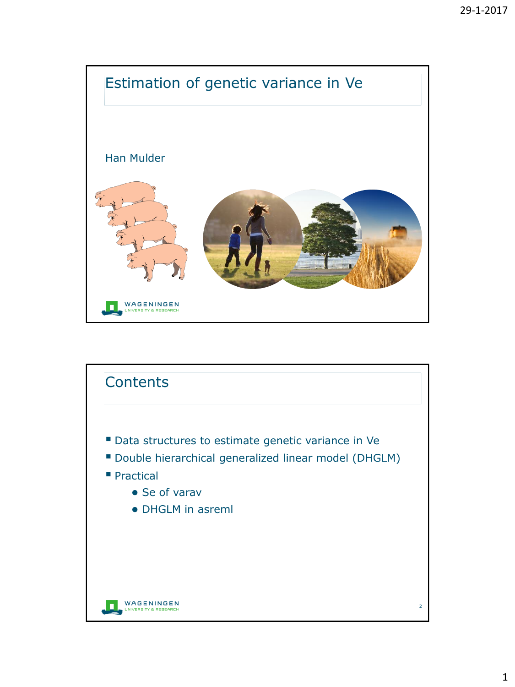

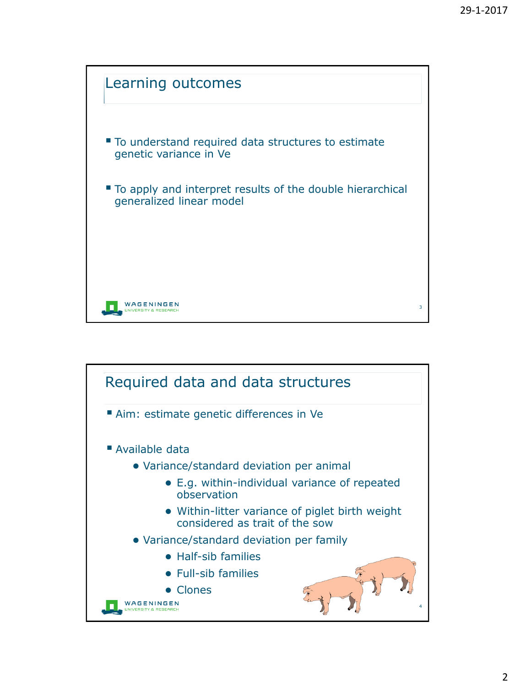

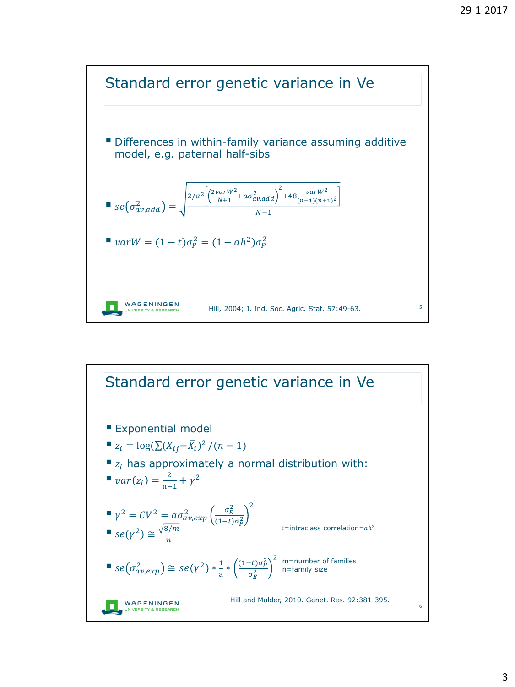

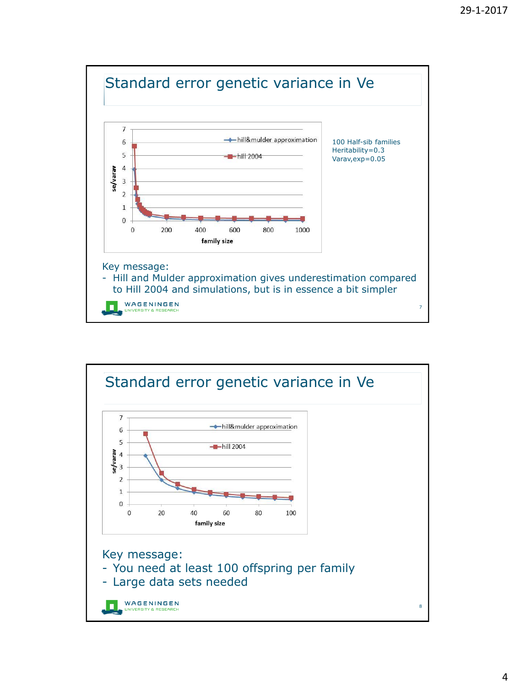

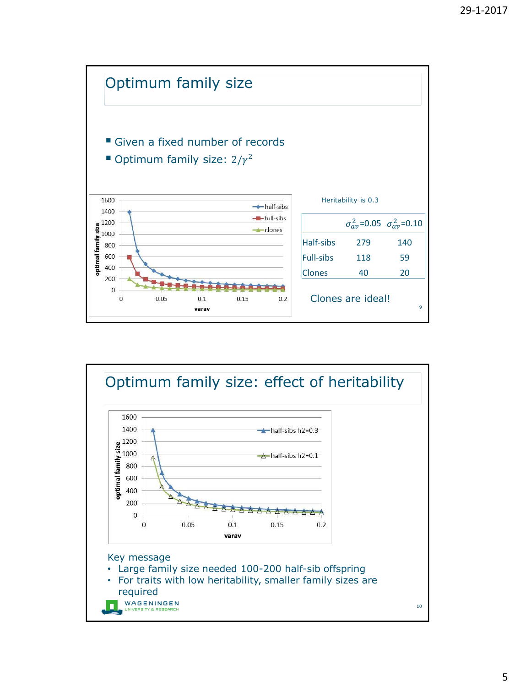

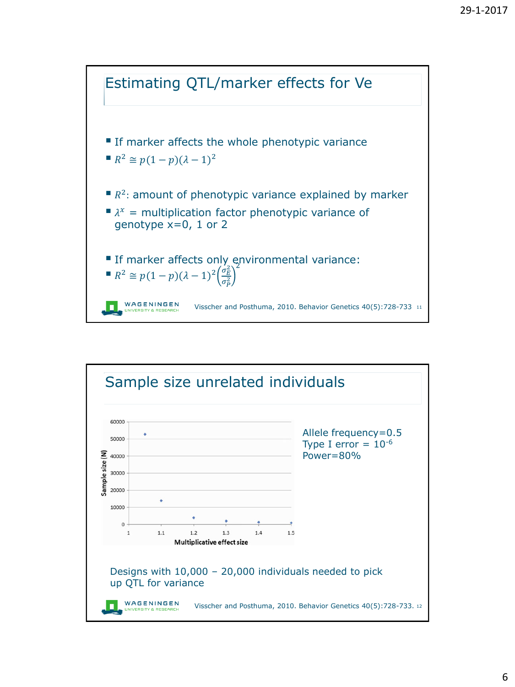

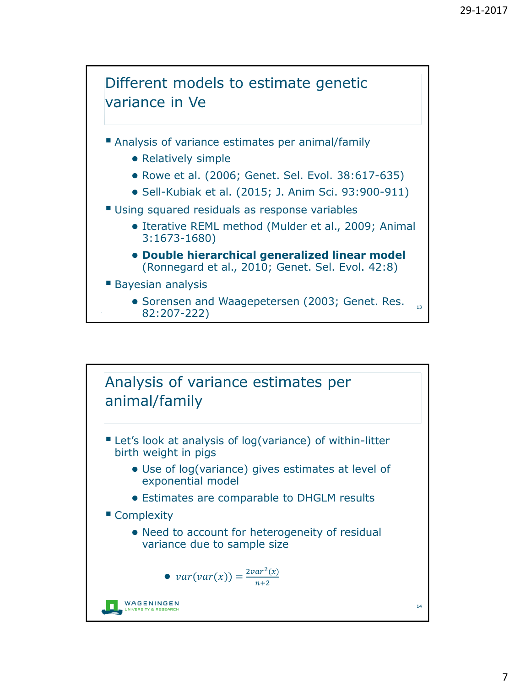

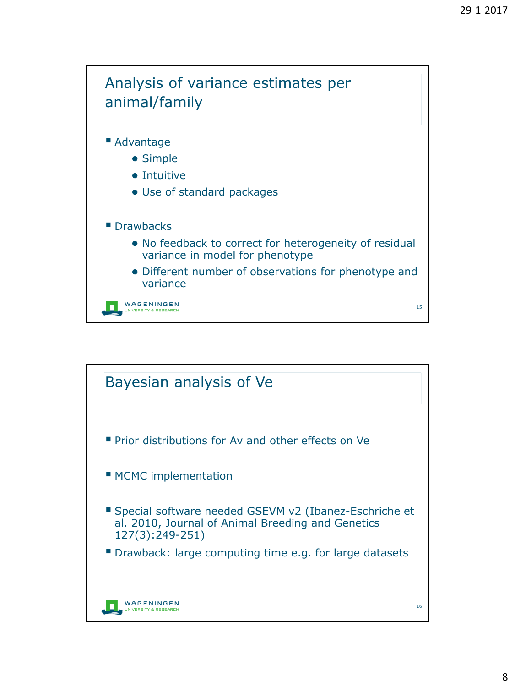

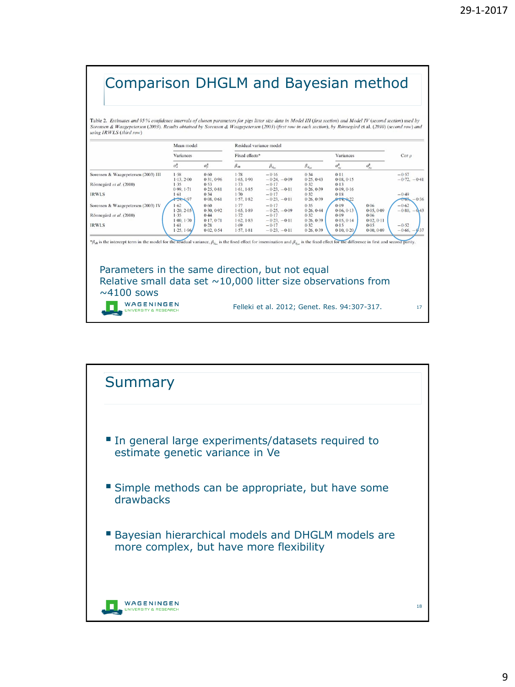## Comparison DHGLM and Bayesian method

Table 2. Estimates and 95 % confidence intervals of chosen parameters for pigs litter size data in Model III (first section) and Model IV (second section) used by Sorensen & Waagepetersen (2003). Results obtained by Sorensen & Waagepetersen (2003) (first row in each section), by Rönnegård et al. (2010) (second row) and using IRWLS (third row)

|                                                                                                                                                                                                                      | Mean model<br>Variances         |                                 | Residual variance model                |                                              |                                  |                                      |                        | $Cor$ $\rho$                  |
|----------------------------------------------------------------------------------------------------------------------------------------------------------------------------------------------------------------------|---------------------------------|---------------------------------|----------------------------------------|----------------------------------------------|----------------------------------|--------------------------------------|------------------------|-------------------------------|
|                                                                                                                                                                                                                      |                                 |                                 | Fixed effects*                         |                                              |                                  | Variances                            |                        |                               |
|                                                                                                                                                                                                                      | $\sigma^2$                      | $\sigma_n^2$                    | $\beta_{ab}$                           | $\beta_{d_m}$                                | $\beta_{d_{\text{max}}}$         | $\sigma_{a}^{2}$                     | $\sigma^2_{p_d}$       |                               |
| Sorensen & Waagepetersen (2003) III                                                                                                                                                                                  | 1.58                            | 0.60                            | $1 - 78$                               | $-0.16$                                      | 0.34                             | $0 - 11$                             |                        | $-0.57$                       |
| Rönnegård et al. (2010)                                                                                                                                                                                              | 1.13.2.00<br>1.35<br>0.99, 1.71 | 0.31.0.96<br>0.53<br>0.25, 0.81 | 1.65, 1.90<br>$1 - 73$<br>$1-61, 1-85$ | $-0.24, -0.09$<br>$-0.17$<br>$-0.23, -0.11$  | 0.25, 0.43<br>0.32<br>0.26, 0.39 | 0.08, 0.15<br>$0-13$<br>$0-09, 0-16$ |                        | $-0.72 - 0.41$                |
| <b>IRWLS</b>                                                                                                                                                                                                         | 1.61<br>$-24 - 97$              | 0.34<br>0.08, 0.61              | $1 - 70$<br>1.57, 1.82                 | $-0.17$<br>$-0.23, -0.11$                    | 0.32<br>0.26, 0.39               | $0-18$<br>$0 + 0.22$                 |                        | $-0.49$<br>0.63<br>$-0.36$    |
| Sorensen & Waagepetersen (2003) IV                                                                                                                                                                                   | 1.62<br>$1-20.2-05$             | 0.60<br>0.30, 0.92              | $1 - 77$<br>$1-65, 1-89$               | $-0.17$<br>$-0.25, -0.09$                    | 0.35<br>0.26, 0.44               | $0 - 09$<br>0.06, 0.13               | 0.06<br>0.05, 0.09     | $-0.62$<br>$-0.80, -0.43$     |
| Rönnegård et al. (2010)                                                                                                                                                                                              | 1.35<br>1.00, 1.70              | 0.44<br>0.17, 0.71              | $1 - 72$<br>$1-62, 1-83$               | $-0.17$<br>$-0.23, -0.11$                    | 0.32<br>0.26, 0.39               | $0 - 09$<br>0.05, 0.14               | 0.06<br>0.02, 0.11     |                               |
| <b>IRWLS</b>                                                                                                                                                                                                         | 1.61<br>1.25, 1.96              | 0.28<br>0.02, 0.54              | $1 - 69$<br>$1-57, 1-81$               | $-0.17$<br>$-0.23, -0.11$                    | 0.32<br>0.26, 0.39               | $0-15$<br>$0-10, 0-20$               | $0 - 05$<br>0.00, 0.09 | $-0.52$<br>$-0.66, -$<br>0.37 |
| $*_{\beta_{d0}}$ is the intercept term in the model for the residual variance, $\beta_{d-}$ is the fixed effect for insemination and $\beta_{d-}$ is the fixed effect for the difference in first and second parity. |                                 |                                 |                                        |                                              |                                  |                                      |                        |                               |
|                                                                                                                                                                                                                      |                                 |                                 |                                        |                                              |                                  |                                      |                        |                               |
|                                                                                                                                                                                                                      |                                 |                                 |                                        |                                              |                                  |                                      |                        |                               |
| Parameters in the same direction, but not equal                                                                                                                                                                      |                                 |                                 |                                        |                                              |                                  |                                      |                        |                               |
| Relative small data set $\sim$ 10,000 litter size observations from                                                                                                                                                  |                                 |                                 |                                        |                                              |                                  |                                      |                        |                               |
| $\sim$ 4100 sows                                                                                                                                                                                                     |                                 |                                 |                                        |                                              |                                  |                                      |                        |                               |
| WAGENINGEN<br><b>JNIVERSITY &amp; RESEARCH</b>                                                                                                                                                                       |                                 |                                 |                                        | Felleki et al. 2012; Genet. Res. 94:307-317. |                                  |                                      |                        | 17                            |

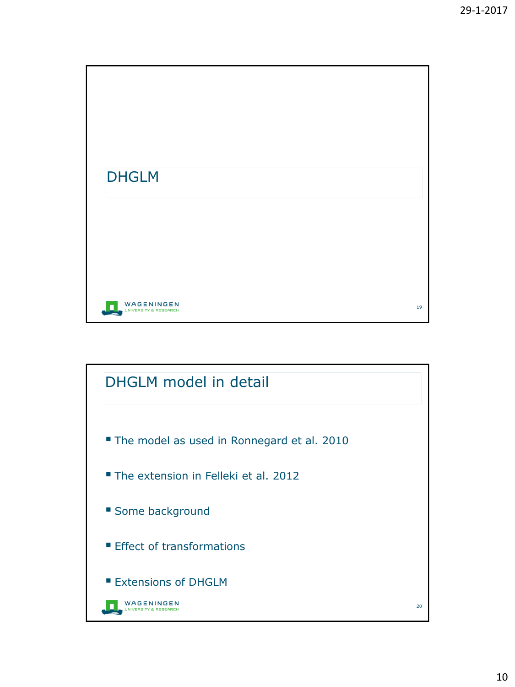

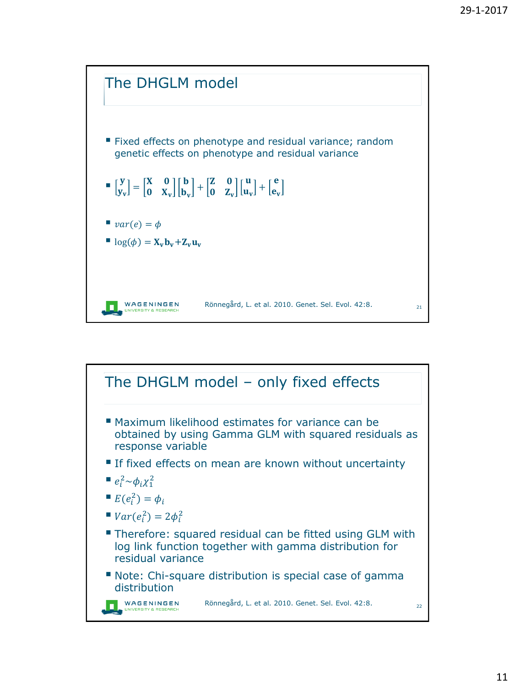

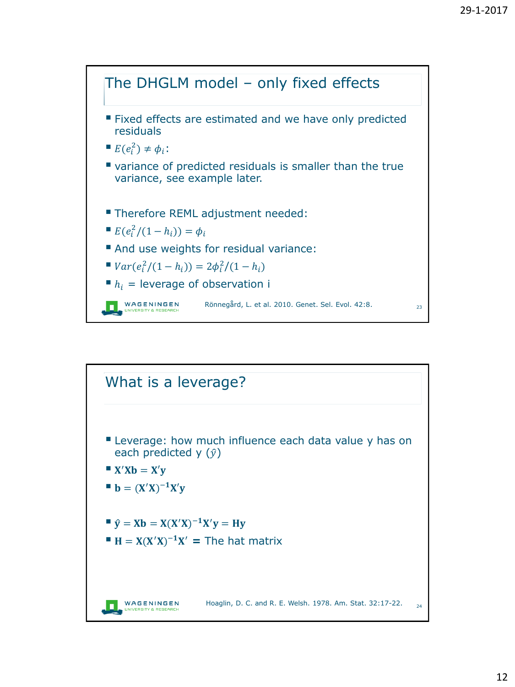

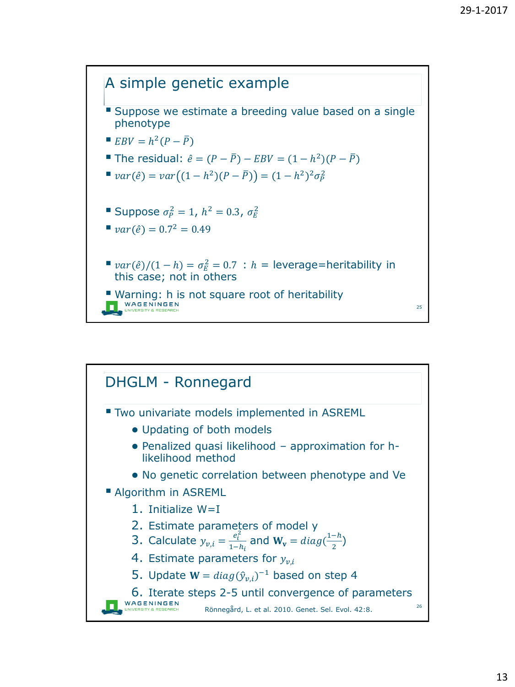

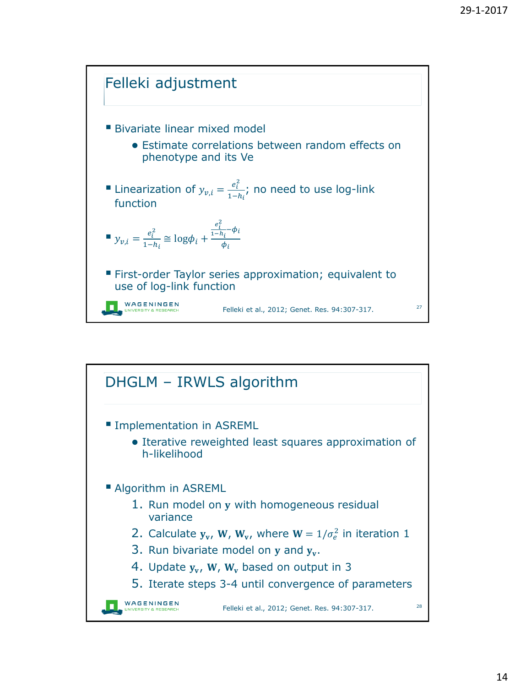

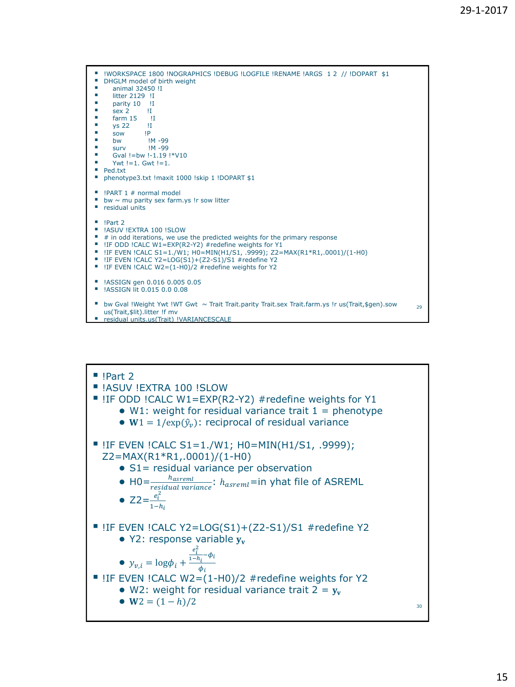

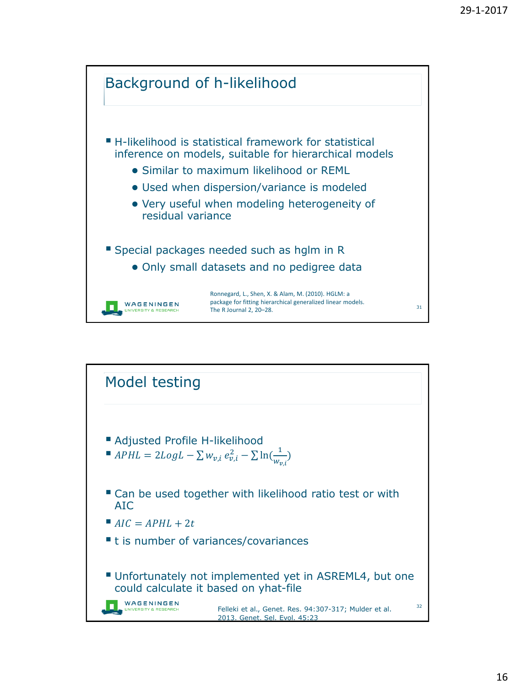

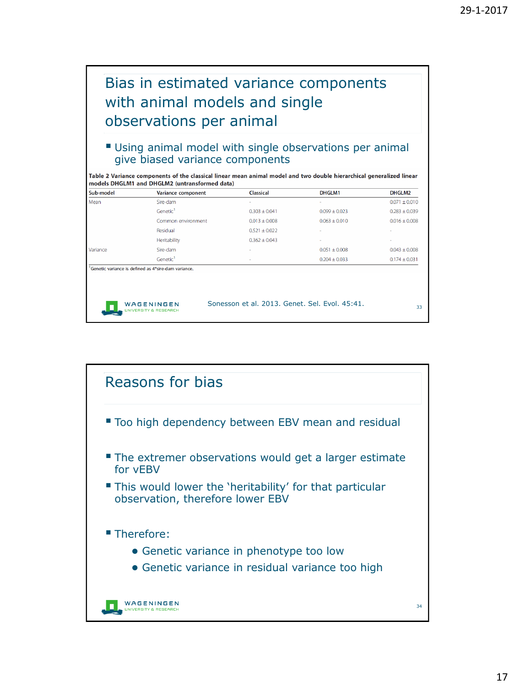## Bias in estimated variance components with animal models and single observations per animal

## Using animal model with single observations per animal give biased variance components

|                                               | Table 2 Variance components of the classical linear mean animal model and two double hierarchical generalized linear |
|-----------------------------------------------|----------------------------------------------------------------------------------------------------------------------|
| models DHGLM1 and DHGLM2 (untransformed data) |                                                                                                                      |

| Sub-model          | Variance component                                               | <b>Classical</b>                               | DHGLM1            | DHGLM2            |
|--------------------|------------------------------------------------------------------|------------------------------------------------|-------------------|-------------------|
| Mean               | Sire-dam                                                         | $\overline{\phantom{a}}$                       |                   | $0.071 \pm 0.010$ |
|                    | Genetic <sup>1</sup>                                             | $0.303 \pm 0.041$                              | $0.099 \pm 0.023$ | $0.283 \pm 0.039$ |
| Common environment |                                                                  | $0.013 + 0.008$                                | $0.063 + 0.010$   | $0.016 \pm 0.008$ |
|                    | Residual                                                         | $0.521 \pm 0.022$                              |                   |                   |
|                    | Heritability                                                     | $0.362 \pm 0.043$                              | ٠                 | $\sim$            |
| Variance           | Sire-dam                                                         |                                                | $0.051 \pm 0.008$ | $0.043 \pm 0.008$ |
|                    | Genetic <sup>1</sup>                                             | $\overline{a}$                                 | $0.204 \pm 0.033$ | $0.174 \pm 0.031$ |
|                    | <sup>1</sup> Genetic variance is defined as 4*sire-dam variance. |                                                |                   |                   |
|                    | WAGENINGEN<br><b>UNIVERSITY &amp; RESEARCH</b>                   | Sonesson et al. 2013. Genet. Sel. Evol. 45:41. |                   | 33                |

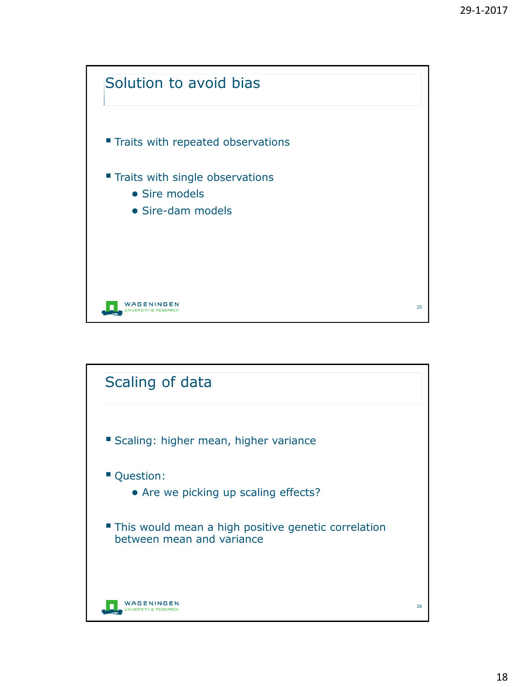

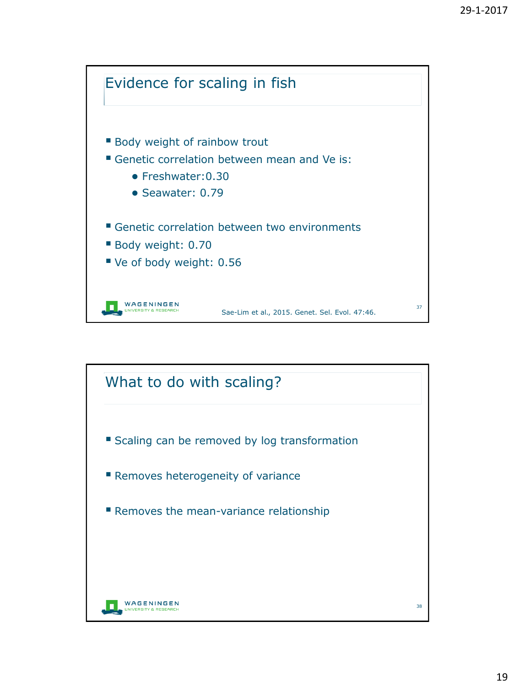

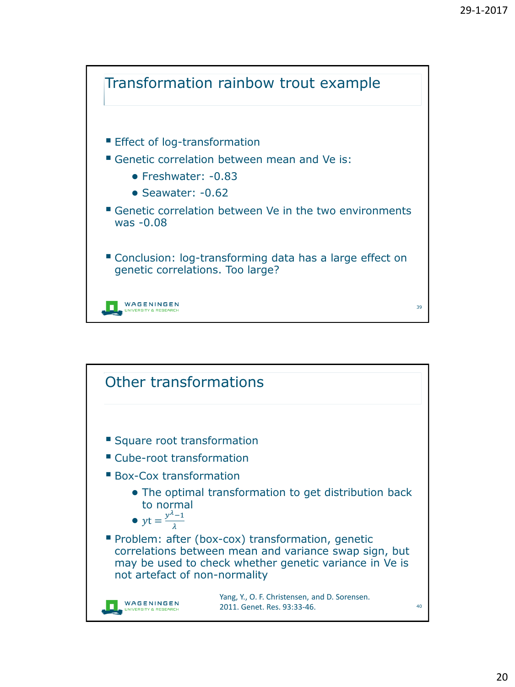

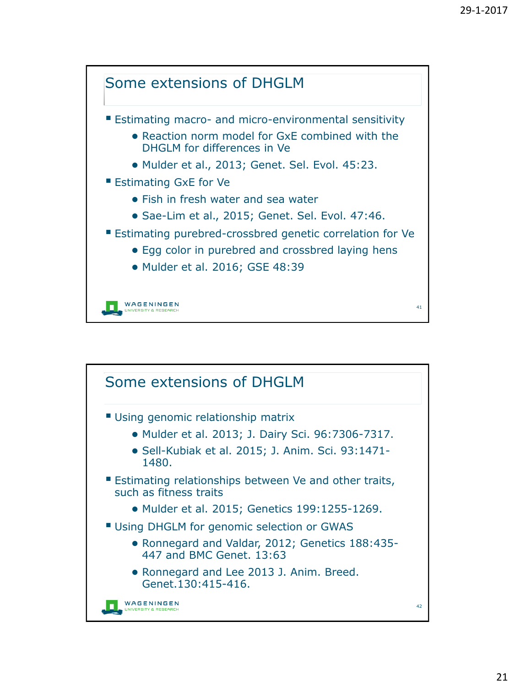